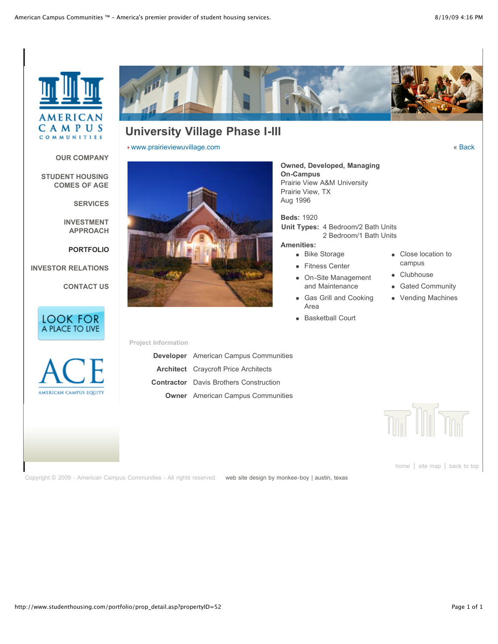

**[OUR COMPANY](http://www.studenthousing.com/company/)**

**[SERVICES](http://www.studenthousing.com/services/)**

**[INVESTMENT](http://www.studenthousing.com/investment/) APPROACH**

**[PORTFOLIO](http://www.studenthousing.com/portfolio/)**

**[CONTACT US](http://www.studenthousing.com/contact/)**

**[INVESTOR RELATIONS](http://www.studenthousing.com/investors/)**

LOOK FOR A PLACE TO LIVE

**[STUDENT HOUSING](http://www.studenthousing.com/evolution/) COMES OF AGE**



# **University Village Phase I-III**

[www.prairieviewuvillage.com](http://www.prairieviewuvillage.com/) « [Back](http://www.studenthousing.com/portfolio/prop_detail.asp?propertyID=52#)



#### **Owned, Developed, Managing On-Campus** Prairie View A&M University Prairie View, TX Aug 1996

**Beds:** 1920 **Unit Types:** 4 Bedroom/2 Bath Units 2 Bedroom/1 Bath Units

#### **Amenities:**

- Bike Storage
- **•** Fitness Center
- On-Site Management and Maintenance
- Gas Grill and Cooking Area
- Basketball Court
- Close location to campus
- Clubhouse  $\bullet$
- Gated Community  $\bullet$
- Vending Machines  $\bullet$

AMERICAN CAMPUS EQUITY

## **Project Information**

| <b>Developer</b> American Campus Communities  |
|-----------------------------------------------|
| <b>Architect</b> Craycroft Price Architects   |
| <b>Contractor</b> Davis Brothers Construction |
| <b>Owner</b> American Campus Communities      |



[home](http://www.studenthousing.com/) | [site map](http://www.studenthousing.com/sitemap.asp) | [back to top](http://www.studenthousing.com/portfolio/prop_detail.asp?propertyID=52#)

Copyright © 2009 - American Campus Communities - All rights reserved. [web site design by monkee-boy | austin, texas](http://www.monkee-boy.com/)